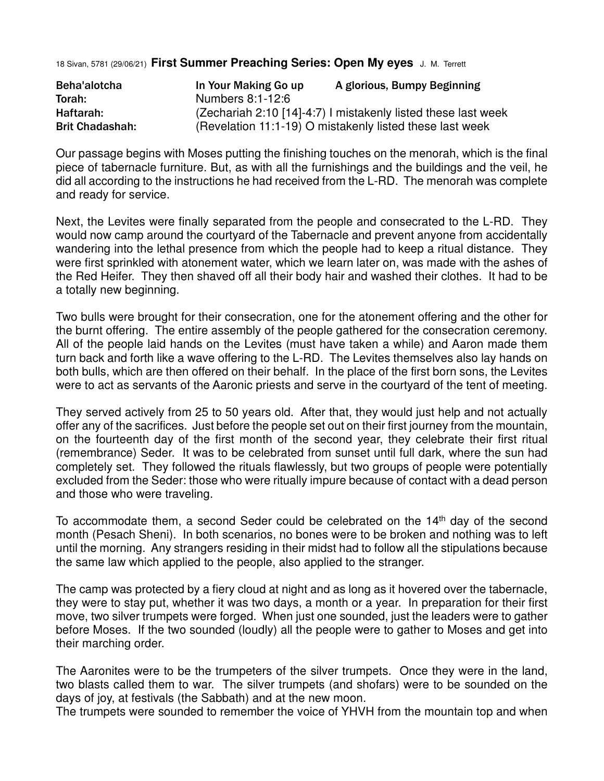18 Sivan, 5781 (29/06/21) **First Summer Preaching Series: Open My eyes** J. M. Terrett

| Beha'alotcha           | In Your Making Go up                                          | A glorious, Bumpy Beginning                              |
|------------------------|---------------------------------------------------------------|----------------------------------------------------------|
| Torah:                 | Numbers 8:1-12:6                                              |                                                          |
| Haftarah:              | (Zechariah 2:10 [14]-4:7) I mistakenly listed these last week |                                                          |
| <b>Brit Chadashah:</b> |                                                               | (Revelation 11:1-19) O mistakenly listed these last week |

Our passage begins with Moses putting the finishing touches on the menorah, which is the final piece of tabernacle furniture. But, as with all the furnishings and the buildings and the veil, he did all according to the instructions he had received from the L-RD. The menorah was complete and ready for service.

Next, the Levites were finally separated from the people and consecrated to the L-RD. They would now camp around the courtyard of the Tabernacle and prevent anyone from accidentally wandering into the lethal presence from which the people had to keep a ritual distance. They were first sprinkled with atonement water, which we learn later on, was made with the ashes of the Red Heifer. They then shaved off all their body hair and washed their clothes. It had to be a totally new beginning.

Two bulls were brought for their consecration, one for the atonement offering and the other for the burnt offering. The entire assembly of the people gathered for the consecration ceremony. All of the people laid hands on the Levites (must have taken a while) and Aaron made them turn back and forth like a wave offering to the L-RD. The Levites themselves also lay hands on both bulls, which are then offered on their behalf. In the place of the first born sons, the Levites were to act as servants of the Aaronic priests and serve in the courtyard of the tent of meeting.

They served actively from 25 to 50 years old. After that, they would just help and not actually offer any of the sacrifices. Just before the people set out on their first journey from the mountain, on the fourteenth day of the first month of the second year, they celebrate their first ritual (remembrance) Seder. It was to be celebrated from sunset until full dark, where the sun had completely set. They followed the rituals flawlessly, but two groups of people were potentially excluded from the Seder: those who were ritually impure because of contact with a dead person and those who were traveling.

To accommodate them, a second Seder could be celebrated on the  $14<sup>th</sup>$  day of the second month (Pesach Sheni). In both scenarios, no bones were to be broken and nothing was to left until the morning. Any strangers residing in their midst had to follow all the stipulations because the same law which applied to the people, also applied to the stranger.

The camp was protected by a fiery cloud at night and as long as it hovered over the tabernacle, they were to stay put, whether it was two days, a month or a year. In preparation for their first move, two silver trumpets were forged. When just one sounded, just the leaders were to gather before Moses. If the two sounded (loudly) all the people were to gather to Moses and get into their marching order.

The Aaronites were to be the trumpeters of the silver trumpets. Once they were in the land, two blasts called them to war. The silver trumpets (and shofars) were to be sounded on the days of joy, at festivals (the Sabbath) and at the new moon.

The trumpets were sounded to remember the voice of YHVH from the mountain top and when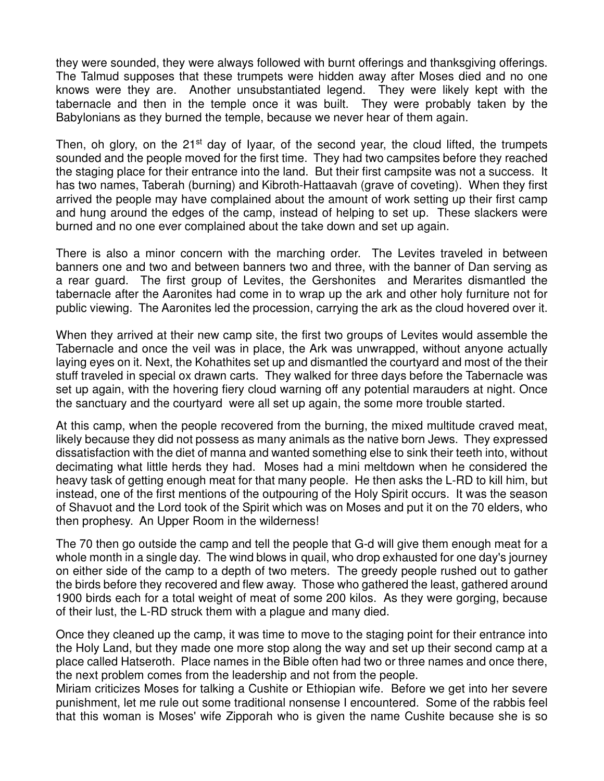they were sounded, they were always followed with burnt offerings and thanksgiving offerings. The Talmud supposes that these trumpets were hidden away after Moses died and no one knows were they are. Another unsubstantiated legend. They were likely kept with the tabernacle and then in the temple once it was built. They were probably taken by the Babylonians as they burned the temple, because we never hear of them again.

Then, oh glory, on the  $21^{st}$  day of Iyaar, of the second year, the cloud lifted, the trumpets sounded and the people moved for the first time. They had two campsites before they reached the staging place for their entrance into the land. But their first campsite was not a success. It has two names, Taberah (burning) and Kibroth-Hattaavah (grave of coveting). When they first arrived the people may have complained about the amount of work setting up their first camp and hung around the edges of the camp, instead of helping to set up. These slackers were burned and no one ever complained about the take down and set up again.

There is also a minor concern with the marching order. The Levites traveled in between banners one and two and between banners two and three, with the banner of Dan serving as a rear guard. The first group of Levites, the Gershonites and Merarites dismantled the tabernacle after the Aaronites had come in to wrap up the ark and other holy furniture not for public viewing. The Aaronites led the procession, carrying the ark as the cloud hovered over it.

When they arrived at their new camp site, the first two groups of Levites would assemble the Tabernacle and once the veil was in place, the Ark was unwrapped, without anyone actually laying eyes on it. Next, the Kohathites set up and dismantled the courtyard and most of the their stuff traveled in special ox drawn carts. They walked for three days before the Tabernacle was set up again, with the hovering fiery cloud warning off any potential marauders at night. Once the sanctuary and the courtyard were all set up again, the some more trouble started.

At this camp, when the people recovered from the burning, the mixed multitude craved meat, likely because they did not possess as many animals as the native born Jews. They expressed dissatisfaction with the diet of manna and wanted something else to sink their teeth into, without decimating what little herds they had. Moses had a mini meltdown when he considered the heavy task of getting enough meat for that many people. He then asks the L-RD to kill him, but instead, one of the first mentions of the outpouring of the Holy Spirit occurs. It was the season of Shavuot and the Lord took of the Spirit which was on Moses and put it on the 70 elders, who then prophesy. An Upper Room in the wilderness!

The 70 then go outside the camp and tell the people that G-d will give them enough meat for a whole month in a single day. The wind blows in quail, who drop exhausted for one day's journey on either side of the camp to a depth of two meters. The greedy people rushed out to gather the birds before they recovered and flew away. Those who gathered the least, gathered around 1900 birds each for a total weight of meat of some 200 kilos. As they were gorging, because of their lust, the L-RD struck them with a plague and many died.

Once they cleaned up the camp, it was time to move to the staging point for their entrance into the Holy Land, but they made one more stop along the way and set up their second camp at a place called Hatseroth. Place names in the Bible often had two or three names and once there, the next problem comes from the leadership and not from the people.

Miriam criticizes Moses for talking a Cushite or Ethiopian wife. Before we get into her severe punishment, let me rule out some traditional nonsense I encountered. Some of the rabbis feel that this woman is Moses' wife Zipporah who is given the name Cushite because she is so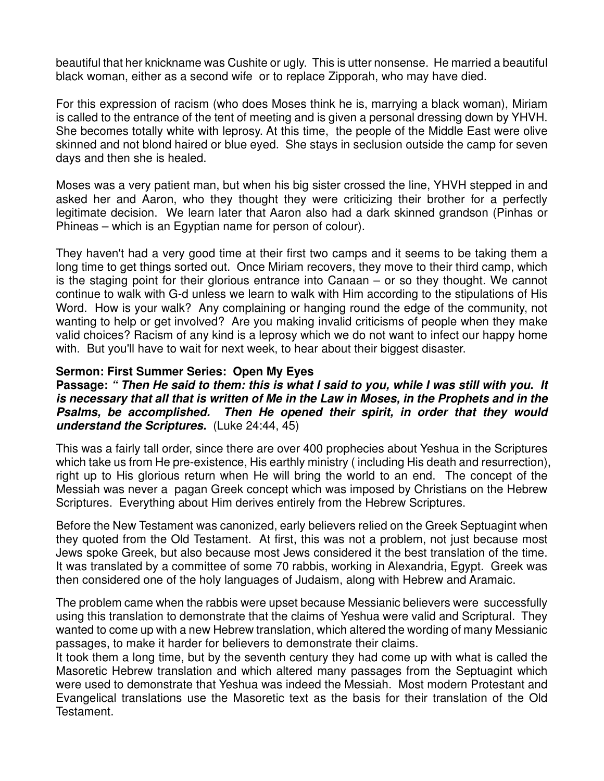beautiful that her knickname was Cushite or ugly. This is utter nonsense. He married a beautiful black woman, either as a second wife or to replace Zipporah, who may have died.

For this expression of racism (who does Moses think he is, marrying a black woman), Miriam is called to the entrance of the tent of meeting and is given a personal dressing down by YHVH. She becomes totally white with leprosy. At this time, the people of the Middle East were olive skinned and not blond haired or blue eyed. She stays in seclusion outside the camp for seven days and then she is healed.

Moses was a very patient man, but when his big sister crossed the line, YHVH stepped in and asked her and Aaron, who they thought they were criticizing their brother for a perfectly legitimate decision. We learn later that Aaron also had a dark skinned grandson (Pinhas or Phineas – which is an Egyptian name for person of colour).

They haven't had a very good time at their first two camps and it seems to be taking them a long time to get things sorted out. Once Miriam recovers, they move to their third camp, which is the staging point for their glorious entrance into Canaan – or so they thought. We cannot continue to walk with G-d unless we learn to walk with Him according to the stipulations of His Word. How is your walk? Any complaining or hanging round the edge of the community, not wanting to help or get involved? Are you making invalid criticisms of people when they make valid choices? Racism of any kind is a leprosy which we do not want to infect our happy home with. But you'll have to wait for next week, to hear about their biggest disaster.

## **Sermon: First Summer Series: Open My Eyes**

**Passage:** *" Then He said to them: this is what I said to you, while I was still with you. It is necessary that all that is written of Me in the Law in Moses, in the Prophets and in the Psalms, be accomplished. Then He opened their spirit, in order that they would understand the Scriptures.* (Luke 24:44, 45)

This was a fairly tall order, since there are over 400 prophecies about Yeshua in the Scriptures which take us from He pre-existence, His earthly ministry ( including His death and resurrection), right up to His glorious return when He will bring the world to an end. The concept of the Messiah was never a pagan Greek concept which was imposed by Christians on the Hebrew Scriptures. Everything about Him derives entirely from the Hebrew Scriptures.

Before the New Testament was canonized, early believers relied on the Greek Septuagint when they quoted from the Old Testament. At first, this was not a problem, not just because most Jews spoke Greek, but also because most Jews considered it the best translation of the time. It was translated by a committee of some 70 rabbis, working in Alexandria, Egypt. Greek was then considered one of the holy languages of Judaism, along with Hebrew and Aramaic.

The problem came when the rabbis were upset because Messianic believers were successfully using this translation to demonstrate that the claims of Yeshua were valid and Scriptural. They wanted to come up with a new Hebrew translation, which altered the wording of many Messianic passages, to make it harder for believers to demonstrate their claims.

It took them a long time, but by the seventh century they had come up with what is called the Masoretic Hebrew translation and which altered many passages from the Septuagint which were used to demonstrate that Yeshua was indeed the Messiah. Most modern Protestant and Evangelical translations use the Masoretic text as the basis for their translation of the Old Testament.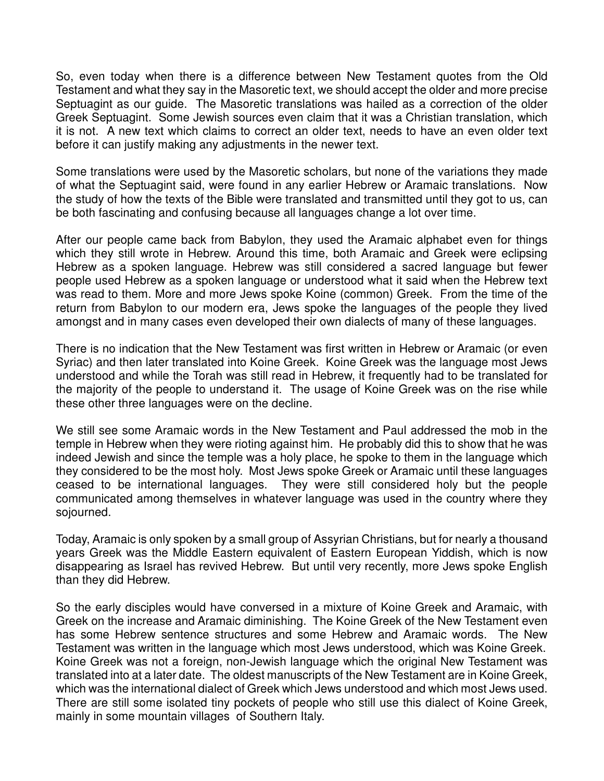So, even today when there is a difference between New Testament quotes from the Old Testament and what they say in the Masoretic text, we should accept the older and more precise Septuagint as our guide. The Masoretic translations was hailed as a correction of the older Greek Septuagint. Some Jewish sources even claim that it was a Christian translation, which it is not. A new text which claims to correct an older text, needs to have an even older text before it can justify making any adjustments in the newer text.

Some translations were used by the Masoretic scholars, but none of the variations they made of what the Septuagint said, were found in any earlier Hebrew or Aramaic translations. Now the study of how the texts of the Bible were translated and transmitted until they got to us, can be both fascinating and confusing because all languages change a lot over time.

After our people came back from Babylon, they used the Aramaic alphabet even for things which they still wrote in Hebrew. Around this time, both Aramaic and Greek were eclipsing Hebrew as a spoken language. Hebrew was still considered a sacred language but fewer people used Hebrew as a spoken language or understood what it said when the Hebrew text was read to them. More and more Jews spoke Koine (common) Greek. From the time of the return from Babylon to our modern era, Jews spoke the languages of the people they lived amongst and in many cases even developed their own dialects of many of these languages.

There is no indication that the New Testament was first written in Hebrew or Aramaic (or even Syriac) and then later translated into Koine Greek. Koine Greek was the language most Jews understood and while the Torah was still read in Hebrew, it frequently had to be translated for the majority of the people to understand it. The usage of Koine Greek was on the rise while these other three languages were on the decline.

We still see some Aramaic words in the New Testament and Paul addressed the mob in the temple in Hebrew when they were rioting against him. He probably did this to show that he was indeed Jewish and since the temple was a holy place, he spoke to them in the language which they considered to be the most holy. Most Jews spoke Greek or Aramaic until these languages ceased to be international languages. They were still considered holy but the people communicated among themselves in whatever language was used in the country where they sojourned.

Today, Aramaic is only spoken by a small group of Assyrian Christians, but for nearly a thousand years Greek was the Middle Eastern equivalent of Eastern European Yiddish, which is now disappearing as Israel has revived Hebrew. But until very recently, more Jews spoke English than they did Hebrew.

So the early disciples would have conversed in a mixture of Koine Greek and Aramaic, with Greek on the increase and Aramaic diminishing. The Koine Greek of the New Testament even has some Hebrew sentence structures and some Hebrew and Aramaic words. The New Testament was written in the language which most Jews understood, which was Koine Greek. Koine Greek was not a foreign, non-Jewish language which the original New Testament was translated into at a later date. The oldest manuscripts of the New Testament are in Koine Greek, which was the international dialect of Greek which Jews understood and which most Jews used. There are still some isolated tiny pockets of people who still use this dialect of Koine Greek, mainly in some mountain villages of Southern Italy.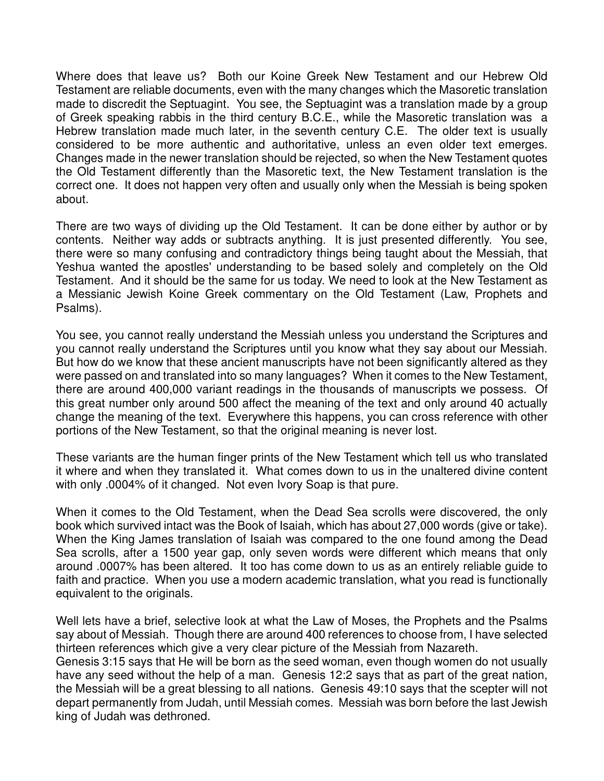Where does that leave us? Both our Koine Greek New Testament and our Hebrew Old Testament are reliable documents, even with the many changes which the Masoretic translation made to discredit the Septuagint. You see, the Septuagint was a translation made by a group of Greek speaking rabbis in the third century B.C.E., while the Masoretic translation was a Hebrew translation made much later, in the seventh century C.E. The older text is usually considered to be more authentic and authoritative, unless an even older text emerges. Changes made in the newer translation should be rejected, so when the New Testament quotes the Old Testament differently than the Masoretic text, the New Testament translation is the correct one. It does not happen very often and usually only when the Messiah is being spoken about.

There are two ways of dividing up the Old Testament. It can be done either by author or by contents. Neither way adds or subtracts anything. It is just presented differently. You see, there were so many confusing and contradictory things being taught about the Messiah, that Yeshua wanted the apostles' understanding to be based solely and completely on the Old Testament. And it should be the same for us today. We need to look at the New Testament as a Messianic Jewish Koine Greek commentary on the Old Testament (Law, Prophets and Psalms).

You see, you cannot really understand the Messiah unless you understand the Scriptures and you cannot really understand the Scriptures until you know what they say about our Messiah. But how do we know that these ancient manuscripts have not been significantly altered as they were passed on and translated into so many languages? When it comes to the New Testament, there are around 400,000 variant readings in the thousands of manuscripts we possess. Of this great number only around 500 affect the meaning of the text and only around 40 actually change the meaning of the text. Everywhere this happens, you can cross reference with other portions of the New Testament, so that the original meaning is never lost.

These variants are the human finger prints of the New Testament which tell us who translated it where and when they translated it. What comes down to us in the unaltered divine content with only .0004% of it changed. Not even Ivory Soap is that pure.

When it comes to the Old Testament, when the Dead Sea scrolls were discovered, the only book which survived intact was the Book of Isaiah, which has about 27,000 words (give or take). When the King James translation of Isaiah was compared to the one found among the Dead Sea scrolls, after a 1500 year gap, only seven words were different which means that only around .0007% has been altered. It too has come down to us as an entirely reliable guide to faith and practice. When you use a modern academic translation, what you read is functionally equivalent to the originals.

Well lets have a brief, selective look at what the Law of Moses, the Prophets and the Psalms say about of Messiah. Though there are around 400 references to choose from, I have selected thirteen references which give a very clear picture of the Messiah from Nazareth. Genesis 3:15 says that He will be born as the seed woman, even though women do not usually have any seed without the help of a man. Genesis 12:2 says that as part of the great nation, the Messiah will be a great blessing to all nations. Genesis 49:10 says that the scepter will not depart permanently from Judah, until Messiah comes. Messiah was born before the last Jewish king of Judah was dethroned.